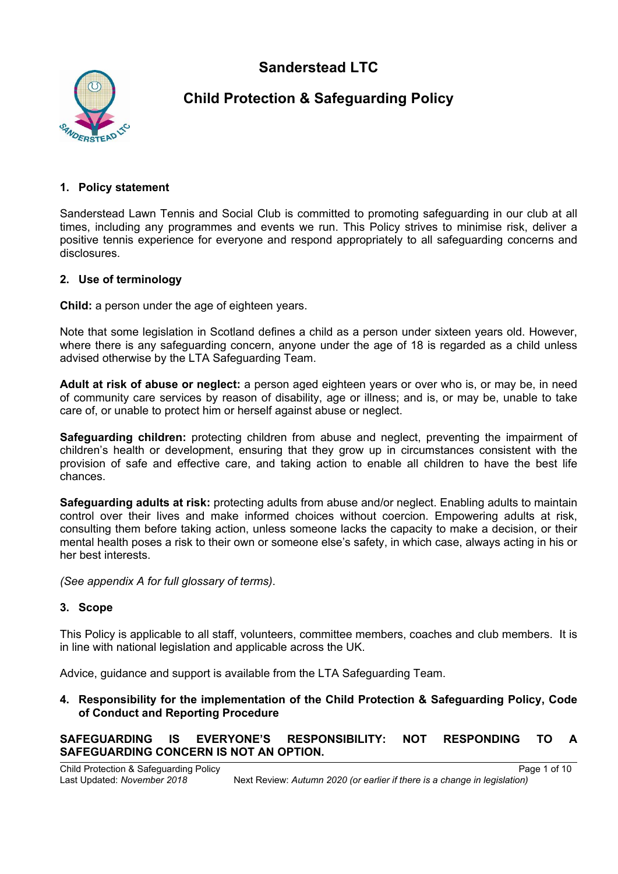**Sanderstead LTC**



# **Child Protection & Safeguarding Policy**

## **1. Policy statement**

Sanderstead Lawn Tennis and Social Club is committed to promoting safeguarding in our club at all times, including any programmes and events we run. This Policy strives to minimise risk, deliver a positive tennis experience for everyone and respond appropriately to all safeguarding concerns and disclosures.

## **2. Use of terminology**

**Child:** a person under the age of eighteen years.

Note that some legislation in Scotland defines a child as a person under sixteen years old. However, where there is any safeguarding concern, anyone under the age of 18 is regarded as a child unless advised otherwise by the LTA Safeguarding Team.

**Adult at risk of abuse or neglect:** a person aged eighteen years or over who is, or may be, in need of community care services by reason of disability, age or illness; and is, or may be, unable to take care of, or unable to protect him or herself against abuse or neglect.

**Safeguarding children:** protecting children from abuse and neglect, preventing the impairment of children's health or development, ensuring that they grow up in circumstances consistent with the provision of safe and effective care, and taking action to enable all children to have the best life chances.

**Safeguarding adults at risk:** protecting adults from abuse and/or neglect. Enabling adults to maintain control over their lives and make informed choices without coercion. Empowering adults at risk, consulting them before taking action, unless someone lacks the capacity to make a decision, or their mental health poses a risk to their own or someone else's safety, in which case, always acting in his or her best interests.

*(See appendix A for full glossary of terms)*.

### **3. Scope**

This Policy is applicable to all staff, volunteers, committee members, coaches and club members. It is in line with national legislation and applicable across the UK.

Advice, guidance and support is available from the LTA Safeguarding Team.

**4. Responsibility for the implementation of the Child Protection & Safeguarding Policy, Code of Conduct and Reporting Procedure**

**SAFEGUARDING IS EVERYONE'S RESPONSIBILITY: NOT RESPONDING TO A SAFEGUARDING CONCERN IS NOT AN OPTION.**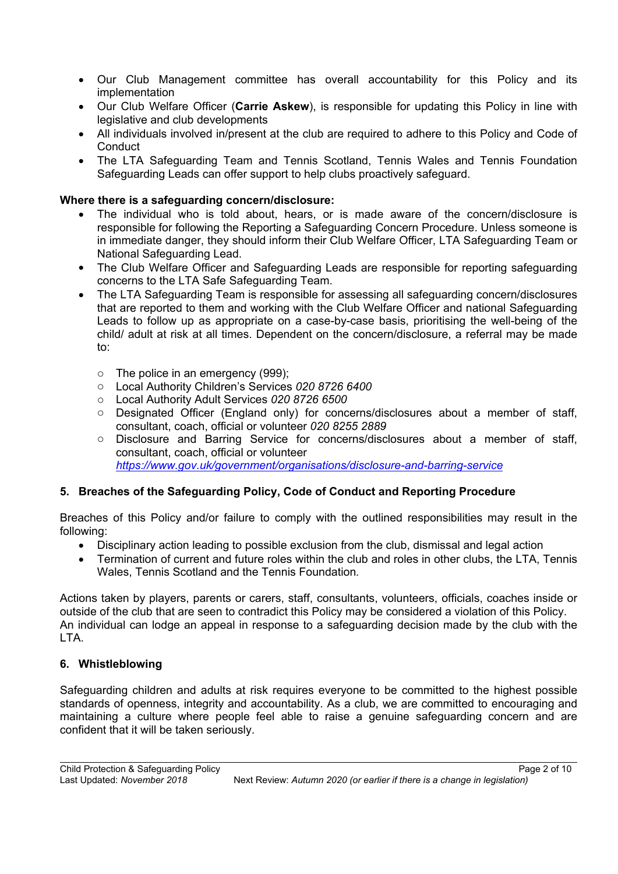- Our Club Management committee has overall accountability for this Policy and its implementation
- x Our Club Welfare Officer (**Carrie Askew**), is responsible for updating this Policy in line with legislative and club developments
- All individuals involved in/present at the club are required to adhere to this Policy and Code of **Conduct**
- The LTA Safeguarding Team and Tennis Scotland, Tennis Wales and Tennis Foundation Safeguarding Leads can offer support to help clubs proactively safeguard.

## **Where there is a safeguarding concern/disclosure:**

- The individual who is told about, hears, or is made aware of the concern/disclosure is responsible for following the Reporting a Safeguarding Concern Procedure. Unless someone is in immediate danger, they should inform their Club Welfare Officer, LTA Safeguarding Team or National Safeguarding Lead.
- The Club Welfare Officer and Safeguarding Leads are responsible for reporting safeguarding concerns to the LTA Safe Safeguarding Team.
- The LTA Safeguarding Team is responsible for assessing all safeguarding concern/disclosures that are reported to them and working with the Club Welfare Officer and national Safeguarding Leads to follow up as appropriate on a case-by-case basis, prioritising the well-being of the child/ adult at risk at all times. Dependent on the concern/disclosure, a referral may be made to:
	- o The police in an emergency (999);
	- o Local Authority Children's Services *020 8726 6400*
	- o Local Authority Adult Services *020 8726 6500*
	- o Designated Officer (England only) for concerns/disclosures about a member of staff, consultant, coach, official or volunteer *020 8255 2889*
	- o Disclosure and Barring Service for concerns/disclosures about a member of staff, consultant, coach, official or volunteer *https://www.gov.uk/government/organisations/disclosure-and-barring-service*

# **5. Breaches of the Safeguarding Policy, Code of Conduct and Reporting Procedure**

Breaches of this Policy and/or failure to comply with the outlined responsibilities may result in the following:

- Disciplinary action leading to possible exclusion from the club, dismissal and legal action
- Termination of current and future roles within the club and roles in other clubs, the LTA, Tennis Wales, Tennis Scotland and the Tennis Foundation*.*

Actions taken by players, parents or carers, staff, consultants, volunteers, officials, coaches inside or outside of the club that are seen to contradict this Policy may be considered a violation of this Policy. An individual can lodge an appeal in response to a safeguarding decision made by the club with the LTA.

# **6. Whistleblowing**

Safeguarding children and adults at risk requires everyone to be committed to the highest possible standards of openness, integrity and accountability. As a club, we are committed to encouraging and maintaining a culture where people feel able to raise a genuine safeguarding concern and are confident that it will be taken seriously.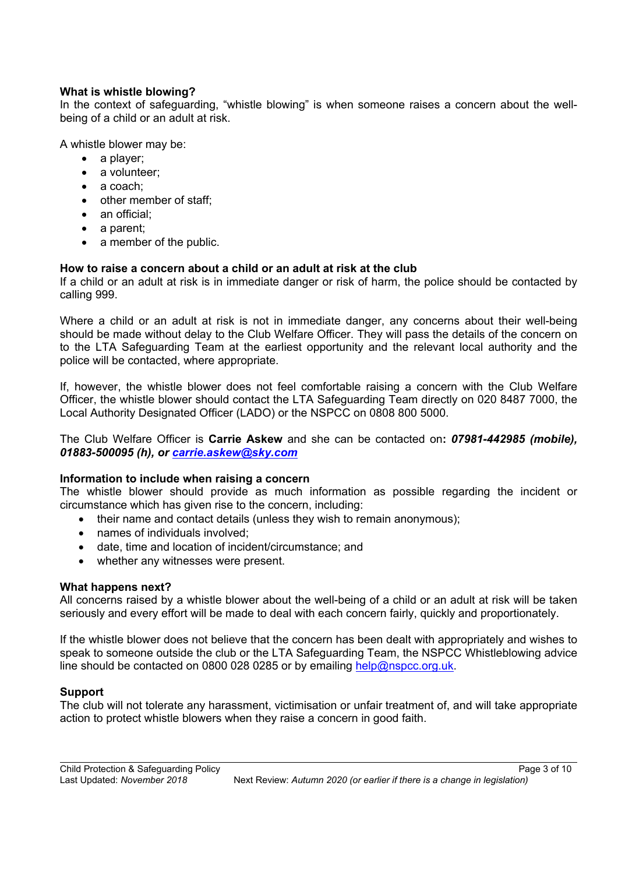## **What is whistle blowing?**

In the context of safeguarding, "whistle blowing" is when someone raises a concern about the wellbeing of a child or an adult at risk.

A whistle blower may be:

- $\bullet$  a player:
- $\bullet$  a volunteer:
- $\bullet$  a coach:
- $\bullet$  other member of staff:
- $\bullet$  an official:
- $\bullet$  a parent:
- $\bullet$  a member of the public.

## **How to raise a concern about a child or an adult at risk at the club**

If a child or an adult at risk is in immediate danger or risk of harm, the police should be contacted by calling 999.

Where a child or an adult at risk is not in immediate danger, any concerns about their well-being should be made without delay to the Club Welfare Officer. They will pass the details of the concern on to the LTA Safeguarding Team at the earliest opportunity and the relevant local authority and the police will be contacted, where appropriate.

If, however, the whistle blower does not feel comfortable raising a concern with the Club Welfare Officer, the whistle blower should contact the LTA Safeguarding Team directly on 020 8487 7000, the Local Authority Designated Officer (LADO) or the NSPCC on 0808 800 5000.

The Club Welfare Officer is **Carrie Askew** and she can be contacted on**:** *07981-442985 (mobile), 01883-500095 (h), or carrie.askew@sky.com*

### **Information to include when raising a concern**

The whistle blower should provide as much information as possible regarding the incident or circumstance which has given rise to the concern, including:

- $\bullet$  their name and contact details (unless they wish to remain anonymous);
- names of individuals involved:
- date, time and location of incident/circumstance; and
- whether any witnesses were present.

### **What happens next?**

All concerns raised by a whistle blower about the well-being of a child or an adult at risk will be taken seriously and every effort will be made to deal with each concern fairly, quickly and proportionately.

If the whistle blower does not believe that the concern has been dealt with appropriately and wishes to speak to someone outside the club or the LTA Safeguarding Team, the NSPCC Whistleblowing advice line should be contacted on 0800 028 0285 or by emailing help@nspcc.org.uk.

### **Support**

The club will not tolerate any harassment, victimisation or unfair treatment of, and will take appropriate action to protect whistle blowers when they raise a concern in good faith.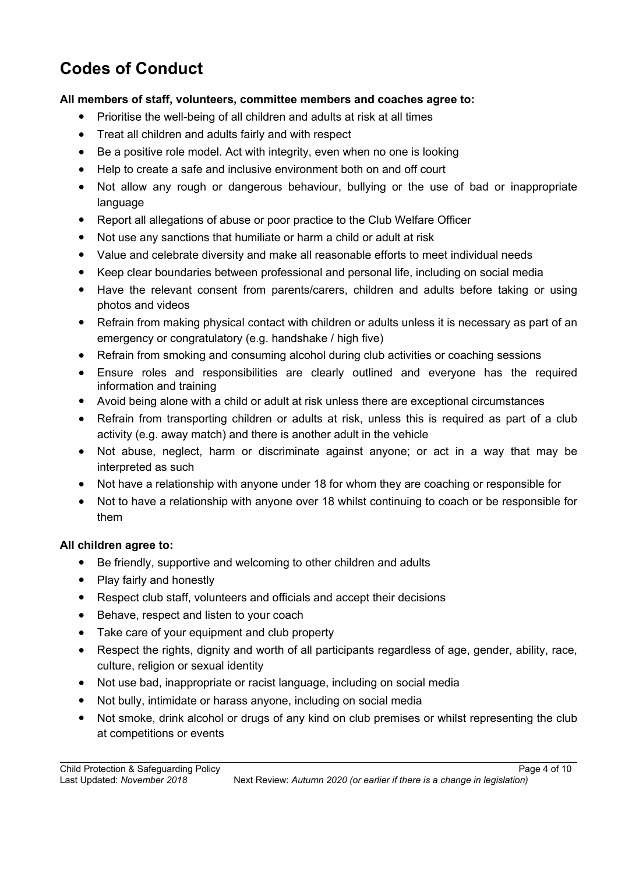# **Codes of Conduct**

# **All members of staff, volunteers, committee members and coaches agree to:**

- Prioritise the well-being of all children and adults at risk at all times
- Treat all children and adults fairly and with respect
- Be a positive role model. Act with integrity, even when no one is looking
- Help to create a safe and inclusive environment both on and off court
- Not allow any rough or dangerous behaviour, bullying or the use of bad or inappropriate language
- Report all allegations of abuse or poor practice to the Club Welfare Officer
- Not use any sanctions that humiliate or harm a child or adult at risk
- Value and celebrate diversity and make all reasonable efforts to meet individual needs
- Keep clear boundaries between professional and personal life, including on social media
- Have the relevant consent from parents/carers, children and adults before taking or using photos and videos
- Refrain from making physical contact with children or adults unless it is necessary as part of an emergency or congratulatory (e.g. handshake / high five)
- Refrain from smoking and consuming alcohol during club activities or coaching sessions
- Ensure roles and responsibilities are clearly outlined and everyone has the required information and training
- Avoid being alone with a child or adult at risk unless there are exceptional circumstances
- Refrain from transporting children or adults at risk, unless this is required as part of a club activity (e.g. away match) and there is another adult in the vehicle
- Not abuse, neglect, harm or discriminate against anyone; or act in a way that may be interpreted as such
- Not have a relationship with anyone under 18 for whom they are coaching or responsible for
- Not to have a relationship with anyone over 18 whilst continuing to coach or be responsible for them

# **All children agree to:**

- Be friendly, supportive and welcoming to other children and adults
- $\bullet$  Play fairly and honestly
- Respect club staff, volunteers and officials and accept their decisions
- Behave, respect and listen to your coach
- Take care of your equipment and club property
- Respect the rights, dignity and worth of all participants regardless of age, gender, ability, race, culture, religion or sexual identity
- Not use bad, inappropriate or racist language, including on social media
- Not bully, intimidate or harass anyone, including on social media
- Not smoke, drink alcohol or drugs of any kind on club premises or whilst representing the club at competitions or events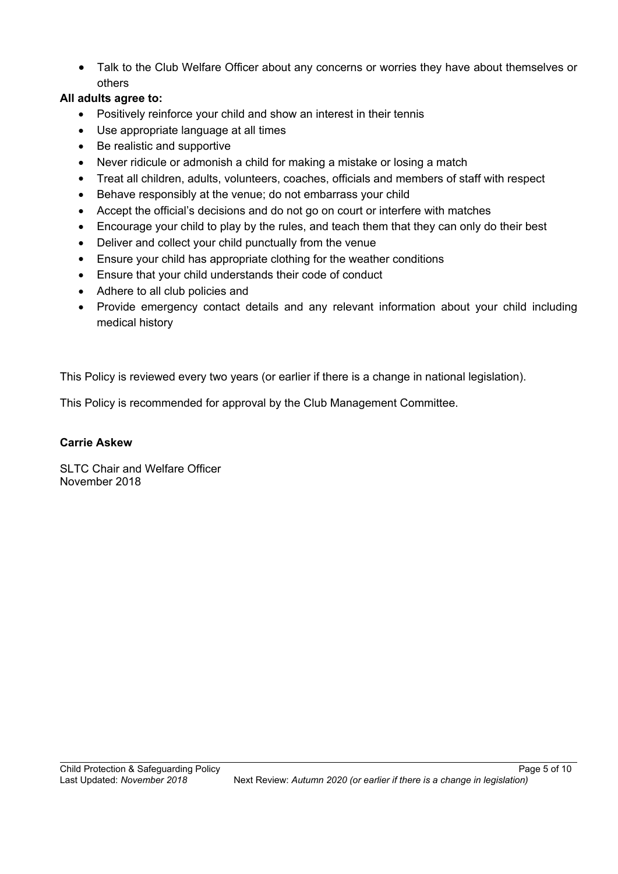• Talk to the Club Welfare Officer about any concerns or worries they have about themselves or others

# **All adults agree to:**

- Positively reinforce your child and show an interest in their tennis
- Use appropriate language at all times
- $\bullet$  Be realistic and supportive
- Never ridicule or admonish a child for making a mistake or losing a match
- x Treat all children, adults, volunteers, coaches, officials and members of staff with respect
- Behave responsibly at the venue; do not embarrass your child
- Accept the official's decisions and do not go on court or interfere with matches
- Encourage your child to play by the rules, and teach them that they can only do their best
- Deliver and collect your child punctually from the venue
- Ensure your child has appropriate clothing for the weather conditions
- Ensure that your child understands their code of conduct
- Adhere to all club policies and
- Provide emergency contact details and any relevant information about your child including medical history

This Policy is reviewed every two years (or earlier if there is a change in national legislation).

This Policy is recommended for approval by the Club Management Committee.

## **Carrie Askew**

SLTC Chair and Welfare Officer November 2018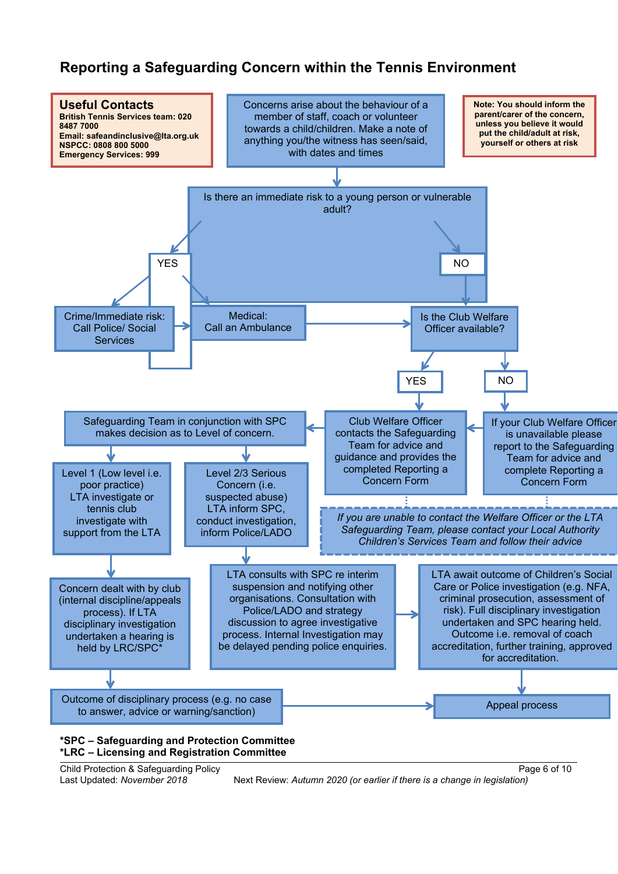# **Reporting a Safeguarding Concern within the Tennis Environment**



Child Protection & Safeguarding Policy Page 6 of 10

Last Updated: *November 2018* Next Review: *Autumn 2020 (or earlier if there is a change in legislation)*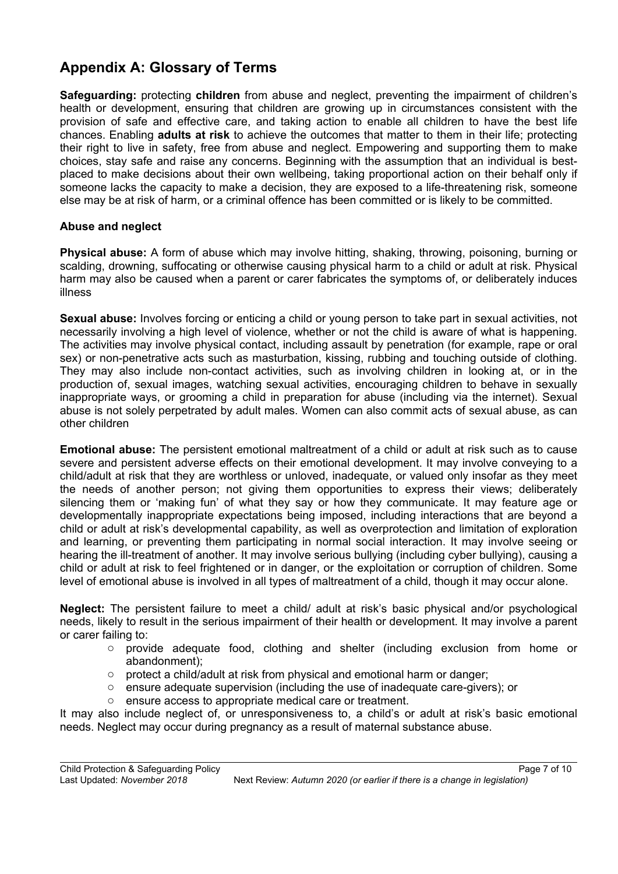# **Appendix A: Glossary of Terms**

**Safeguarding:** protecting **children** from abuse and neglect, preventing the impairment of children's health or development, ensuring that children are growing up in circumstances consistent with the provision of safe and effective care, and taking action to enable all children to have the best life chances. Enabling **adults at risk** to achieve the outcomes that matter to them in their life; protecting their right to live in safety, free from abuse and neglect. Empowering and supporting them to make choices, stay safe and raise any concerns. Beginning with the assumption that an individual is bestplaced to make decisions about their own wellbeing, taking proportional action on their behalf only if someone lacks the capacity to make a decision, they are exposed to a life-threatening risk, someone else may be at risk of harm, or a criminal offence has been committed or is likely to be committed.

# **Abuse and neglect**

**Physical abuse:** A form of abuse which may involve hitting, shaking, throwing, poisoning, burning or scalding, drowning, suffocating or otherwise causing physical harm to a child or adult at risk. Physical harm may also be caused when a parent or carer fabricates the symptoms of, or deliberately induces illness

**Sexual abuse:** Involves forcing or enticing a child or young person to take part in sexual activities, not necessarily involving a high level of violence, whether or not the child is aware of what is happening. The activities may involve physical contact, including assault by penetration (for example, rape or oral sex) or non-penetrative acts such as masturbation, kissing, rubbing and touching outside of clothing. They may also include non-contact activities, such as involving children in looking at, or in the production of, sexual images, watching sexual activities, encouraging children to behave in sexually inappropriate ways, or grooming a child in preparation for abuse (including via the internet). Sexual abuse is not solely perpetrated by adult males. Women can also commit acts of sexual abuse, as can other children

**Emotional abuse:** The persistent emotional maltreatment of a child or adult at risk such as to cause severe and persistent adverse effects on their emotional development. It may involve conveying to a child/adult at risk that they are worthless or unloved, inadequate, or valued only insofar as they meet the needs of another person; not giving them opportunities to express their views; deliberately silencing them or 'making fun' of what they say or how they communicate. It may feature age or developmentally inappropriate expectations being imposed, including interactions that are beyond a child or adult at risk's developmental capability, as well as overprotection and limitation of exploration and learning, or preventing them participating in normal social interaction. It may involve seeing or hearing the ill-treatment of another. It may involve serious bullying (including cyber bullying), causing a child or adult at risk to feel frightened or in danger, or the exploitation or corruption of children. Some level of emotional abuse is involved in all types of maltreatment of a child, though it may occur alone.

**Neglect:** The persistent failure to meet a child/ adult at risk's basic physical and/or psychological needs, likely to result in the serious impairment of their health or development. It may involve a parent or carer failing to:

- o provide adequate food, clothing and shelter (including exclusion from home or abandonment);
- o protect a child/adult at risk from physical and emotional harm or danger;
- $\circ$  ensure adequate supervision (including the use of inadequate care-givers); or
- o ensure access to appropriate medical care or treatment.

It may also include neglect of, or unresponsiveness to, a child's or adult at risk's basic emotional needs. Neglect may occur during pregnancy as a result of maternal substance abuse.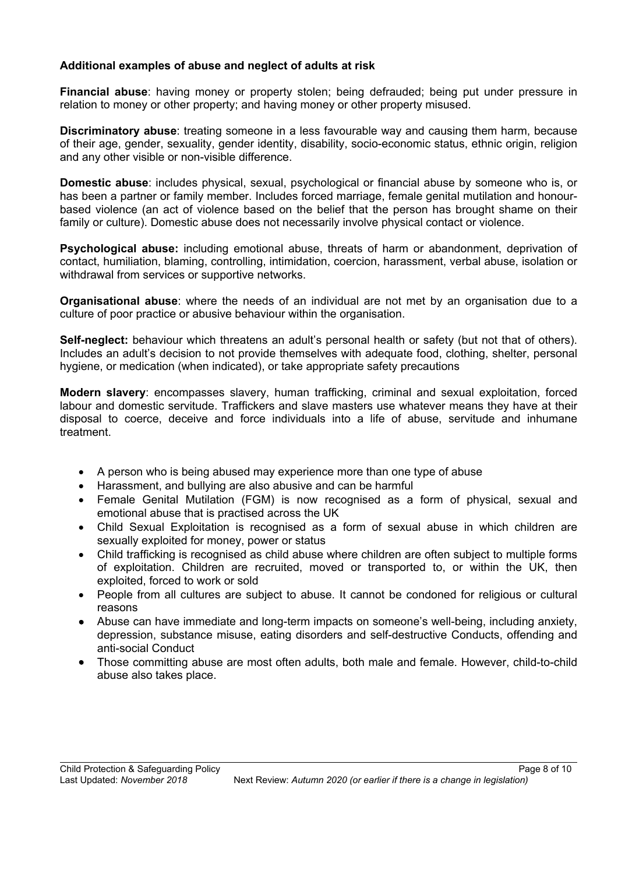## **Additional examples of abuse and neglect of adults at risk**

**Financial abuse**: having money or property stolen; being defrauded; being put under pressure in relation to money or other property; and having money or other property misused.

**Discriminatory abuse**: treating someone in a less favourable way and causing them harm, because of their age, gender, sexuality, gender identity, disability, socio-economic status, ethnic origin, religion and any other visible or non-visible difference.

**Domestic abuse**: includes physical, sexual, psychological or financial abuse by someone who is, or has been a partner or family member. Includes forced marriage, female genital mutilation and honourbased violence (an act of violence based on the belief that the person has brought shame on their family or culture). Domestic abuse does not necessarily involve physical contact or violence.

**Psychological abuse:** including emotional abuse, threats of harm or abandonment, deprivation of contact, humiliation, blaming, controlling, intimidation, coercion, harassment, verbal abuse, isolation or withdrawal from services or supportive networks.

**Organisational abuse**: where the needs of an individual are not met by an organisation due to a culture of poor practice or abusive behaviour within the organisation.

**Self-neglect:** behaviour which threatens an adult's personal health or safety (but not that of others). Includes an adult's decision to not provide themselves with adequate food, clothing, shelter, personal hygiene, or medication (when indicated), or take appropriate safety precautions

**Modern slavery**: encompasses slavery, human trafficking, criminal and sexual exploitation, forced labour and domestic servitude. Traffickers and slave masters use whatever means they have at their disposal to coerce, deceive and force individuals into a life of abuse, servitude and inhumane treatment.

- A person who is being abused may experience more than one type of abuse
- Harassment, and bullying are also abusive and can be harmful
- Female Genital Mutilation (FGM) is now recognised as a form of physical, sexual and emotional abuse that is practised across the UK
- Child Sexual Exploitation is recognised as a form of sexual abuse in which children are sexually exploited for money, power or status
- Child trafficking is recognised as child abuse where children are often subject to multiple forms of exploitation. Children are recruited, moved or transported to, or within the UK, then exploited, forced to work or sold
- People from all cultures are subject to abuse. It cannot be condoned for religious or cultural reasons
- Abuse can have immediate and long-term impacts on someone's well-being, including anxiety, depression, substance misuse, eating disorders and self-destructive Conducts, offending and anti-social Conduct
- Those committing abuse are most often adults, both male and female. However, child-to-child abuse also takes place.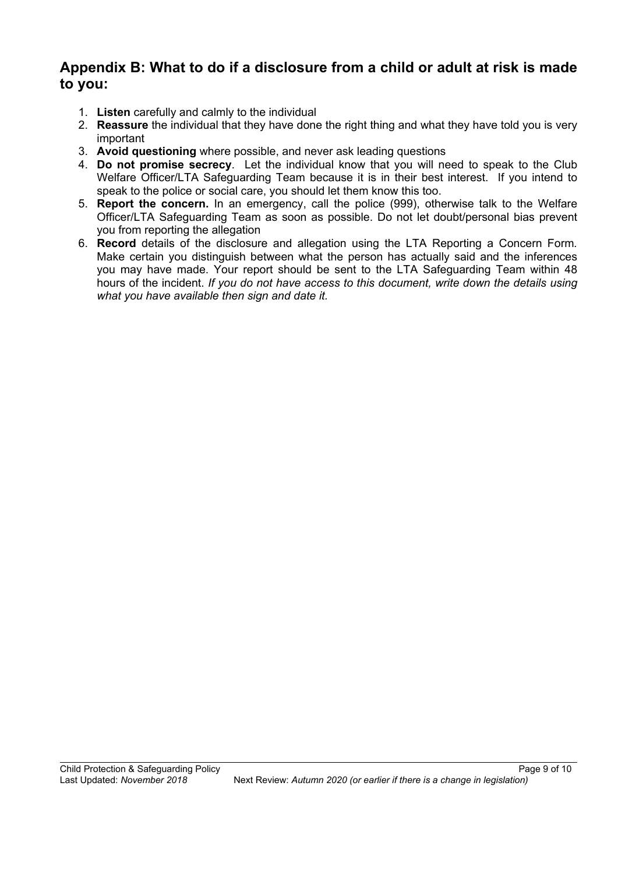# **Appendix B: What to do if a disclosure from a child or adult at risk is made to you:**

- 1. **Listen** carefully and calmly to the individual
- 2. **Reassure** the individual that they have done the right thing and what they have told you is very important
- 3. **Avoid questioning** where possible, and never ask leading questions
- 4. **Do not promise secrecy**. Let the individual know that you will need to speak to the Club Welfare Officer/LTA Safeguarding Team because it is in their best interest. If you intend to speak to the police or social care, you should let them know this too.
- 5. **Report the concern.** In an emergency, call the police (999), otherwise talk to the Welfare Officer/LTA Safeguarding Team as soon as possible. Do not let doubt/personal bias prevent you from reporting the allegation
- 6. **Record** details of the disclosure and allegation using the LTA Reporting a Concern Form*.*  Make certain you distinguish between what the person has actually said and the inferences you may have made. Your report should be sent to the LTA Safeguarding Team within 48 hours of the incident. *If you do not have access to this document, write down the details using what you have available then sign and date it.*